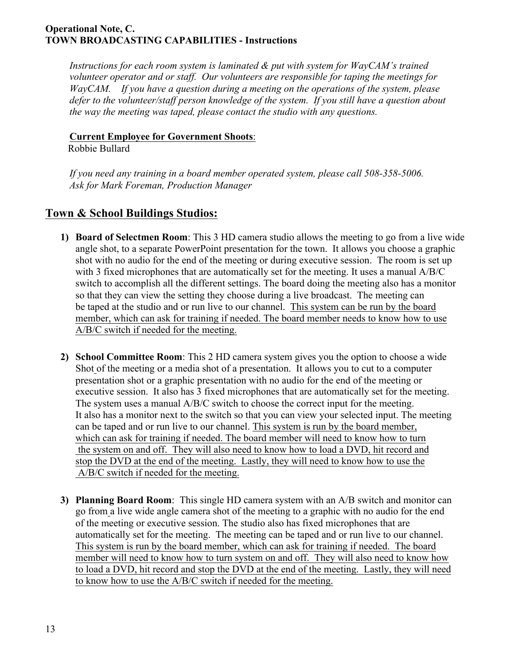## **Operational Note, C. TOWN BROADCASTING CAPABILITIES - Instructions**

*Instructions for each room system is laminated & put with system for WayCAM's trained volunteer operator and or staff. Our volunteers are responsible for taping the meetings for WayCAM. If you have a question during a meeting on the operations of the system, please defer to the volunteer/staff person knowledge of the system. If you still have a question about the way the meeting was taped, please contact the studio with any questions.*

## **Current Employee for Government Shoots**:

Robbie Bullard

*If you need any training in a board member operated system, please call 508-358-5006. Ask for Mark Foreman, Production Manager*

## **Town & School Buildings Studios:**

- **1) Board of Selectmen Room**: This 3 HD camera studio allows the meeting to go from a live wide angle shot, to a separate PowerPoint presentation for the town. It allows you choose a graphic shot with no audio for the end of the meeting or during executive session. The room is set up with 3 fixed microphones that are automatically set for the meeting. It uses a manual A/B/C switch to accomplish all the different settings. The board doing the meeting also has a monitor so that they can view the setting they choose during a live broadcast. The meeting can be taped at the studio and or run live to our channel. This system can be run by the board member, which can ask for training if needed. The board member needs to know how to use A/B/C switch if needed for the meeting.
- **2) School Committee Room**: This 2 HD camera system gives you the option to choose a wide Shot of the meeting or a media shot of a presentation. It allows you to cut to a computer presentation shot or a graphic presentation with no audio for the end of the meeting or executive session. It also has 3 fixed microphones that are automatically set for the meeting. The system uses a manual A/B/C switch to choose the correct input for the meeting. It also has a monitor next to the switch so that you can view your selected input. The meeting can be taped and or run live to our channel. This system is run by the board member, which can ask for training if needed. The board member will need to know how to turn the system on and off. They will also need to know how to load a DVD, hit record and stop the DVD at the end of the meeting. Lastly, they will need to know how to use the A/B/C switch if needed for the meeting.
- **3) Planning Board Room**: This single HD camera system with an A/B switch and monitor can go from a live wide angle camera shot of the meeting to a graphic with no audio for the end of the meeting or executive session. The studio also has fixed microphones that are automatically set for the meeting. The meeting can be taped and or run live to our channel. This system is run by the board member, which can ask for training if needed. The board member will need to know how to turn system on and off. They will also need to know how to load a DVD, hit record and stop the DVD at the end of the meeting. Lastly, they will need to know how to use the A/B/C switch if needed for the meeting.